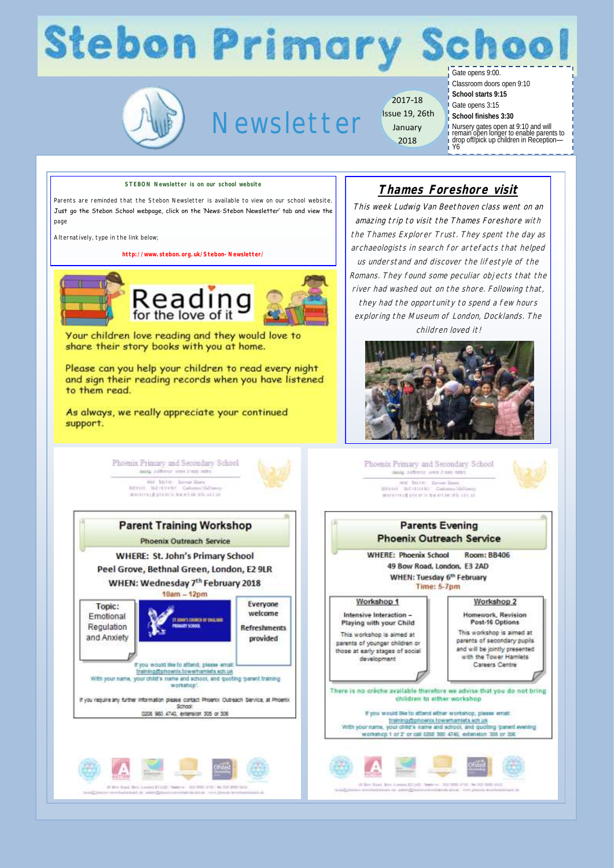## **Stebon Primary Schoo**

Newsletter

2017-18 Issue 19, 26th January 2018

Gate opens 9:00. Classroom doors open 9:10

**School starts 9:15** Gate opens 3:15 **School finishes 3:30**

Nursery gates open at 9:10 and will remain open longer to enable parents to drop off/pick up children in Reception— Y6

**STEBON Newsletter is on our school website**

Parents are reminded that the Stebon Newsletter is available to view on our school website. Just go the Stebon School webpage, click on the 'News-Stebon Newsletter' tab and view the page

Alternatively, type in the link below;

**http://www.stebon.org.uk/Stebon-Newsletter/**



### **Thames Foreshore visit**

This week Ludwig Van Beethoven class went on an amazing trip to visit the Thames Foreshore with the Thames Explorer Trust. They spent the day as archaeologists in search for artefacts that helped us understand and discover the lifestyle of the Romans. They found some peculiar objects that the river had washed out on the shore. Following that, they had the opportunity to spend a few hours exploring the Museum of London, Docklands. The children loved it!